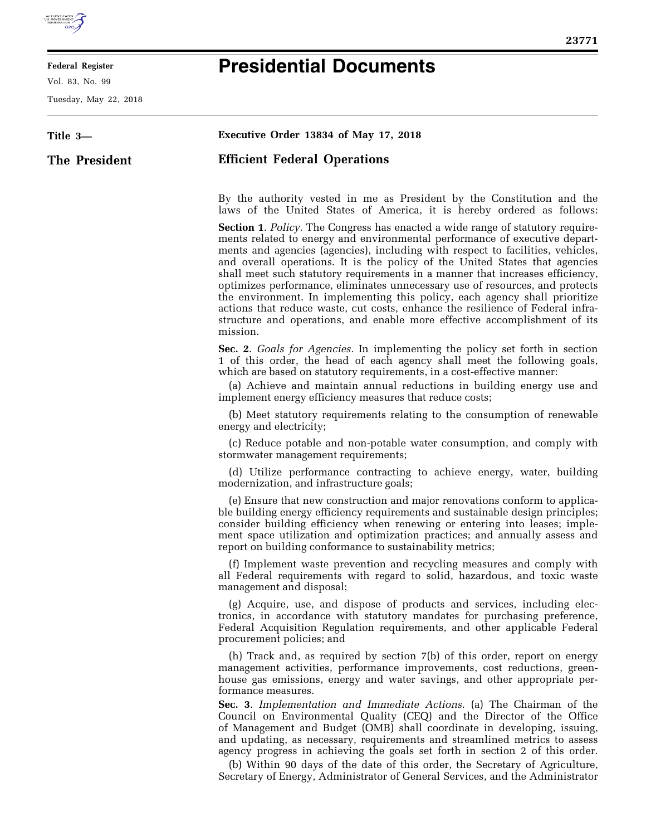

E

## **Federal Register**

Vol. 83, No. 99

Tuesday, May 22, 2018

## **Presidential Documents**

| Title 3-      | Executive Order 13834 of May 17, 2018                                                                                                                                                                                                                                                                                                                                                                                                                                                                                                                                                                                                                                                                                                                          |
|---------------|----------------------------------------------------------------------------------------------------------------------------------------------------------------------------------------------------------------------------------------------------------------------------------------------------------------------------------------------------------------------------------------------------------------------------------------------------------------------------------------------------------------------------------------------------------------------------------------------------------------------------------------------------------------------------------------------------------------------------------------------------------------|
| The President | <b>Efficient Federal Operations</b>                                                                                                                                                                                                                                                                                                                                                                                                                                                                                                                                                                                                                                                                                                                            |
|               | By the authority vested in me as President by the Constitution and the<br>laws of the United States of America, it is hereby ordered as follows:                                                                                                                                                                                                                                                                                                                                                                                                                                                                                                                                                                                                               |
|               | <b>Section 1. Policy.</b> The Congress has enacted a wide range of statutory require-<br>ments related to energy and environmental performance of executive depart-<br>ments and agencies (agencies), including with respect to facilities, vehicles,<br>and overall operations. It is the policy of the United States that agencies<br>shall meet such statutory requirements in a manner that increases efficiency,<br>optimizes performance, eliminates unnecessary use of resources, and protects<br>the environment. In implementing this policy, each agency shall prioritize<br>actions that reduce waste, cut costs, enhance the resilience of Federal infra-<br>structure and operations, and enable more effective accomplishment of its<br>mission. |
|               | Sec. 2. Goals for Agencies. In implementing the policy set forth in section<br>1 of this order, the head of each agency shall meet the following goals,<br>which are based on statutory requirements, in a cost-effective manner:<br>(a) Achieve and maintain annual reductions in building energy use and<br>implement energy efficiency measures that reduce costs;                                                                                                                                                                                                                                                                                                                                                                                          |
|               | (b) Meet statutory requirements relating to the consumption of renewable<br>energy and electricity;                                                                                                                                                                                                                                                                                                                                                                                                                                                                                                                                                                                                                                                            |
|               | (c) Reduce potable and non-potable water consumption, and comply with<br>stormwater management requirements;                                                                                                                                                                                                                                                                                                                                                                                                                                                                                                                                                                                                                                                   |
|               | (d) Utilize performance contracting to achieve energy, water, building<br>modernization, and infrastructure goals;                                                                                                                                                                                                                                                                                                                                                                                                                                                                                                                                                                                                                                             |
|               | (e) Ensure that new construction and major renovations conform to applica-<br>ble building energy efficiency requirements and sustainable design principles;<br>consider building efficiency when renewing or entering into leases; imple-<br>ment space utilization and optimization practices; and annually assess and<br>report on building conformance to sustainability metrics;                                                                                                                                                                                                                                                                                                                                                                          |
|               | (f) Implement waste prevention and recycling measures and comply with<br>all Federal requirements with regard to solid, hazardous, and toxic waste<br>management and disposal;                                                                                                                                                                                                                                                                                                                                                                                                                                                                                                                                                                                 |
|               | (g) Acquire, use, and dispose of products and services, including elec-<br>tronics, in accordance with statutory mandates for purchasing preference,<br>Federal Acquisition Regulation requirements, and other applicable Federal<br>procurement policies; and                                                                                                                                                                                                                                                                                                                                                                                                                                                                                                 |
|               | (h) Track and, as required by section 7(b) of this order, report on energy<br>management activities, performance improvements, cost reductions, green-<br>house gas emissions, energy and water savings, and other appropriate per-<br>formance measures.                                                                                                                                                                                                                                                                                                                                                                                                                                                                                                      |
|               | Sec. 3. Implementation and Immediate Actions. (a) The Chairman of the<br>Council on Environmental Quality (CEQ) and the Director of the Office<br>of Management and Budget (OMB) shall coordinate in developing, issuing,<br>and updating, as necessary, requirements and streamlined metrics to assess<br>agency progress in achieving the goals set forth in section 2 of this order.<br>(b) Within 90 days of the date of this order, the Secretary of Agriculture,<br>Secretary of Energy, Administrator of General Services, and the Administrator                                                                                                                                                                                                        |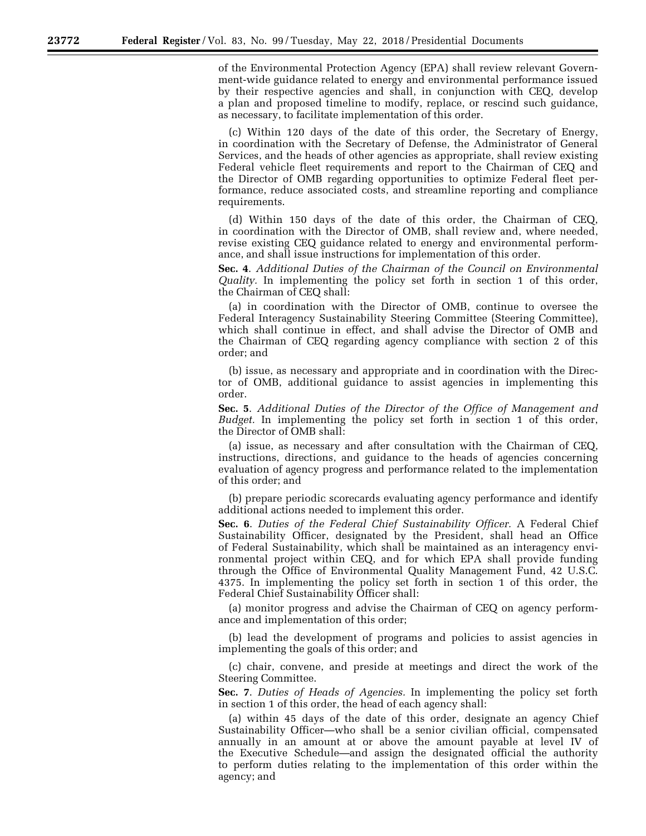of the Environmental Protection Agency (EPA) shall review relevant Government-wide guidance related to energy and environmental performance issued by their respective agencies and shall, in conjunction with CEQ, develop a plan and proposed timeline to modify, replace, or rescind such guidance, as necessary, to facilitate implementation of this order.

(c) Within 120 days of the date of this order, the Secretary of Energy, in coordination with the Secretary of Defense, the Administrator of General Services, and the heads of other agencies as appropriate, shall review existing Federal vehicle fleet requirements and report to the Chairman of CEQ and the Director of OMB regarding opportunities to optimize Federal fleet performance, reduce associated costs, and streamline reporting and compliance requirements.

(d) Within 150 days of the date of this order, the Chairman of CEQ, in coordination with the Director of OMB, shall review and, where needed, revise existing CEQ guidance related to energy and environmental performance, and shall issue instructions for implementation of this order.

**Sec. 4**. *Additional Duties of the Chairman of the Council on Environmental Quality.* In implementing the policy set forth in section 1 of this order, the Chairman of CEQ shall:

(a) in coordination with the Director of OMB, continue to oversee the Federal Interagency Sustainability Steering Committee (Steering Committee), which shall continue in effect, and shall advise the Director of OMB and the Chairman of CEQ regarding agency compliance with section 2 of this order; and

(b) issue, as necessary and appropriate and in coordination with the Director of OMB, additional guidance to assist agencies in implementing this order.

**Sec. 5**. *Additional Duties of the Director of the Office of Management and Budget.* In implementing the policy set forth in section 1 of this order, the Director of OMB shall:

(a) issue, as necessary and after consultation with the Chairman of CEQ, instructions, directions, and guidance to the heads of agencies concerning evaluation of agency progress and performance related to the implementation of this order; and

(b) prepare periodic scorecards evaluating agency performance and identify additional actions needed to implement this order.

**Sec. 6**. *Duties of the Federal Chief Sustainability Officer.* A Federal Chief Sustainability Officer, designated by the President, shall head an Office of Federal Sustainability, which shall be maintained as an interagency environmental project within CEQ, and for which EPA shall provide funding through the Office of Environmental Quality Management Fund, 42 U.S.C. 4375. In implementing the policy set forth in section 1 of this order, the Federal Chief Sustainability Officer shall:

(a) monitor progress and advise the Chairman of CEQ on agency performance and implementation of this order;

(b) lead the development of programs and policies to assist agencies in implementing the goals of this order; and

(c) chair, convene, and preside at meetings and direct the work of the Steering Committee.

**Sec. 7**. *Duties of Heads of Agencies.* In implementing the policy set forth in section 1 of this order, the head of each agency shall:

(a) within 45 days of the date of this order, designate an agency Chief Sustainability Officer—who shall be a senior civilian official, compensated annually in an amount at or above the amount payable at level IV of the Executive Schedule—and assign the designated official the authority to perform duties relating to the implementation of this order within the agency; and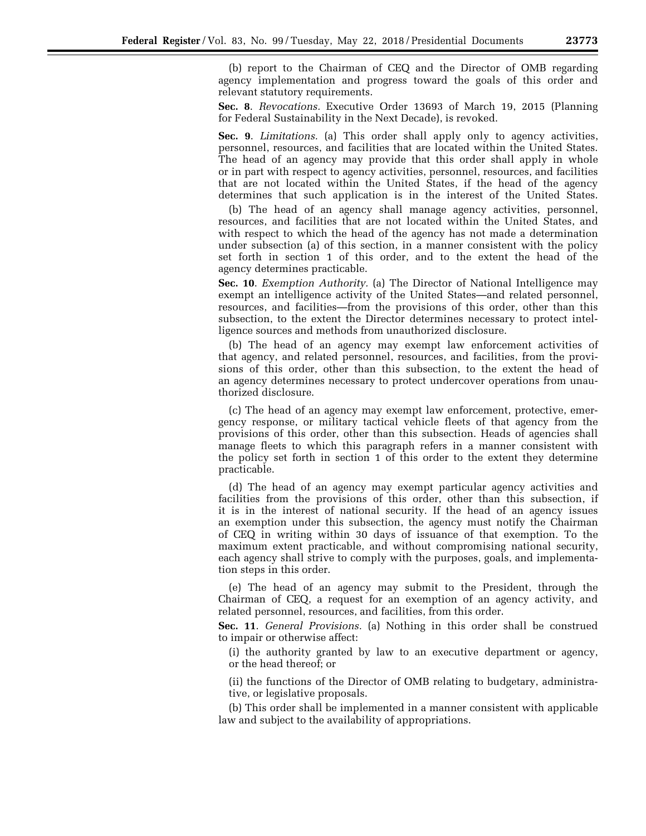(b) report to the Chairman of CEQ and the Director of OMB regarding agency implementation and progress toward the goals of this order and relevant statutory requirements.

**Sec. 8**. *Revocations.* Executive Order 13693 of March 19, 2015 (Planning for Federal Sustainability in the Next Decade), is revoked.

**Sec. 9**. *Limitations.* (a) This order shall apply only to agency activities, personnel, resources, and facilities that are located within the United States. The head of an agency may provide that this order shall apply in whole or in part with respect to agency activities, personnel, resources, and facilities that are not located within the United States, if the head of the agency determines that such application is in the interest of the United States.

(b) The head of an agency shall manage agency activities, personnel, resources, and facilities that are not located within the United States, and with respect to which the head of the agency has not made a determination under subsection (a) of this section, in a manner consistent with the policy set forth in section 1 of this order, and to the extent the head of the agency determines practicable.

**Sec. 10**. *Exemption Authority.* (a) The Director of National Intelligence may exempt an intelligence activity of the United States—and related personnel, resources, and facilities—from the provisions of this order, other than this subsection, to the extent the Director determines necessary to protect intelligence sources and methods from unauthorized disclosure.

(b) The head of an agency may exempt law enforcement activities of that agency, and related personnel, resources, and facilities, from the provisions of this order, other than this subsection, to the extent the head of an agency determines necessary to protect undercover operations from unauthorized disclosure.

(c) The head of an agency may exempt law enforcement, protective, emergency response, or military tactical vehicle fleets of that agency from the provisions of this order, other than this subsection. Heads of agencies shall manage fleets to which this paragraph refers in a manner consistent with the policy set forth in section 1 of this order to the extent they determine practicable.

(d) The head of an agency may exempt particular agency activities and facilities from the provisions of this order, other than this subsection, if it is in the interest of national security. If the head of an agency issues an exemption under this subsection, the agency must notify the Chairman of CEQ in writing within 30 days of issuance of that exemption. To the maximum extent practicable, and without compromising national security, each agency shall strive to comply with the purposes, goals, and implementation steps in this order.

(e) The head of an agency may submit to the President, through the Chairman of CEQ, a request for an exemption of an agency activity, and related personnel, resources, and facilities, from this order.

**Sec. 11**. *General Provisions.* (a) Nothing in this order shall be construed to impair or otherwise affect:

(i) the authority granted by law to an executive department or agency, or the head thereof; or

(ii) the functions of the Director of OMB relating to budgetary, administrative, or legislative proposals.

(b) This order shall be implemented in a manner consistent with applicable law and subject to the availability of appropriations.